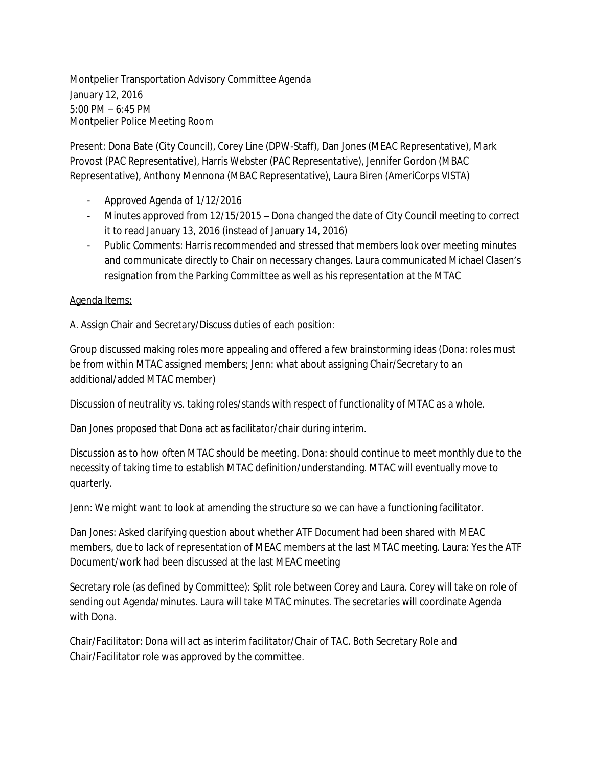Montpelier Transportation Advisory Committee Agenda January 12, 2016 5:00 PM – 6:45 PM Montpelier Police Meeting Room

Present: Dona Bate (City Council), Corey Line (DPW-Staff), Dan Jones (MEAC Representative), Mark Provost (PAC Representative), Harris Webster (PAC Representative), Jennifer Gordon (MBAC Representative), Anthony Mennona (MBAC Representative), Laura Biren (AmeriCorps VISTA)

- Approved Agenda of 1/12/2016
- Minutes approved from 12/15/2015 Dona changed the date of City Council meeting to correct it to read January 13, 2016 (instead of January 14, 2016)
- Public Comments: Harris recommended and stressed that members look over meeting minutes and communicate directly to Chair on necessary changes. Laura communicated Michael Clasen's resignation from the Parking Committee as well as his representation at the MTAC

## Agenda Items:

## A. Assign Chair and Secretary/Discuss duties of each position:

Group discussed making roles more appealing and offered a few brainstorming ideas (Dona: roles must be from within MTAC assigned members; Jenn: what about assigning Chair/Secretary to an additional/added MTAC member)

Discussion of neutrality vs. taking roles/stands with respect of functionality of MTAC as a whole.

Dan Jones proposed that Dona act as facilitator/chair during interim.

Discussion as to how often MTAC should be meeting. Dona: should continue to meet monthly due to the necessity of taking time to establish MTAC definition/understanding. MTAC will eventually move to quarterly.

Jenn: We might want to look at amending the structure so we can have a functioning facilitator.

Dan Jones: Asked clarifying question about whether ATF Document had been shared with MEAC members, due to lack of representation of MEAC members at the last MTAC meeting. Laura: Yes the ATF Document/work had been discussed at the last MEAC meeting

Secretary role (as defined by Committee): Split role between Corey and Laura. Corey will take on role of sending out Agenda/minutes. Laura will take MTAC minutes. The secretaries will coordinate Agenda with Dona.

Chair/Facilitator: Dona will act as interim facilitator/Chair of TAC. Both Secretary Role and Chair/Facilitator role was approved by the committee.